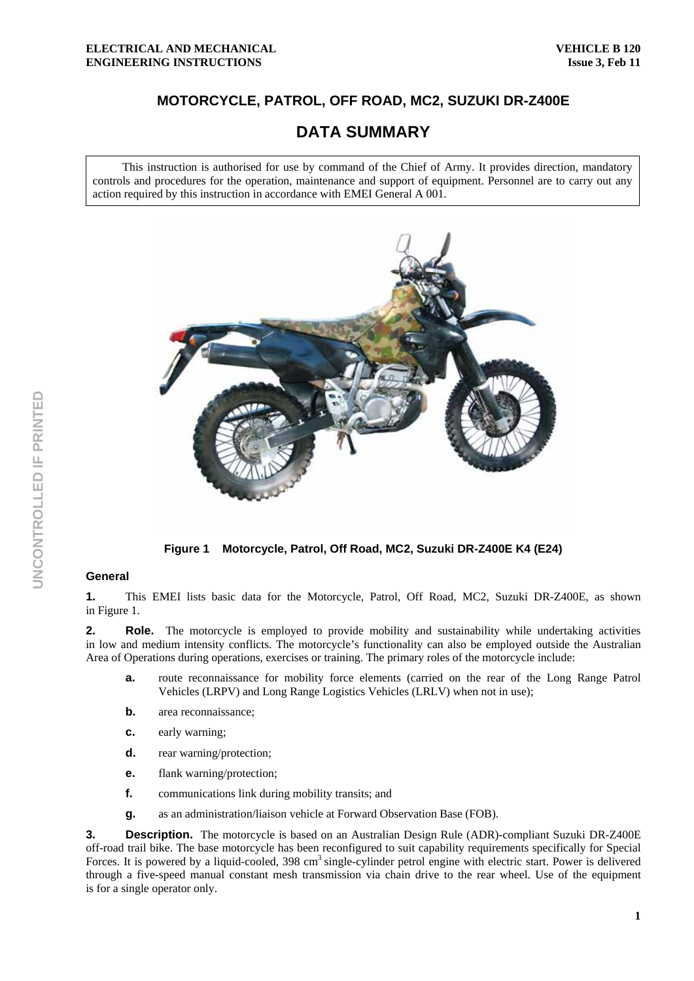## **MOTORCYCLE, PATROL, OFF ROAD, MC2, SUZUKI DR-Z400E**

# **DATA SUMMARY**

This instruction is authorised for use by command of the Chief of Army. It provides direction, mandatory controls and procedures for the operation, maintenance and support of equipment. Personnel are to carry out any action required by this instruction in accordance with EMEI General A 001.



**Figure 1 Motorcycle, Patrol, Off Road, MC2, Suzuki DR-Z400E K4 (E24)** 

#### **General**

**1.** This EMEI lists basic data for the Motorcycle, Patrol, Off Road, MC2, Suzuki DR-Z400E, as shown in Figure 1.

**2.** Role. The motorcycle is employed to provide mobility and sustainability while undertaking activities in low and medium intensity conflicts. The motorcycle's functionality can also be employed outside the Australian Area of Operations during operations, exercises or training. The primary roles of the motorcycle include:

- **a. route reconnaissance for mobility force elements (carried on the rear of the Long Range Patrol** Vehicles (LRPV) and Long Range Logistics Vehicles (LRLV) when not in use);
- **b.** area reconnaissance:
- **c.** early warning;
- **d.** rear warning/protection;
- **e.** flank warning/protection;
- **f.** communications link during mobility transits; and
- **g.** as an administration/liaison vehicle at Forward Observation Base (FOB).

**3. Description.** The motorcycle is based on an Australian Design Rule (ADR)-compliant Suzuki DR-Z400E off-road trail bike. The base motorcycle has been reconfigured to suit capability requirements specifically for Special Forces. It is powered by a liquid-cooled, 398 cm<sup>3</sup> single-cylinder petrol engine with electric start. Power is delivered through a five-speed manual constant mesh transmission via chain drive to the rear wheel. Use of the equipment is for a single operator only.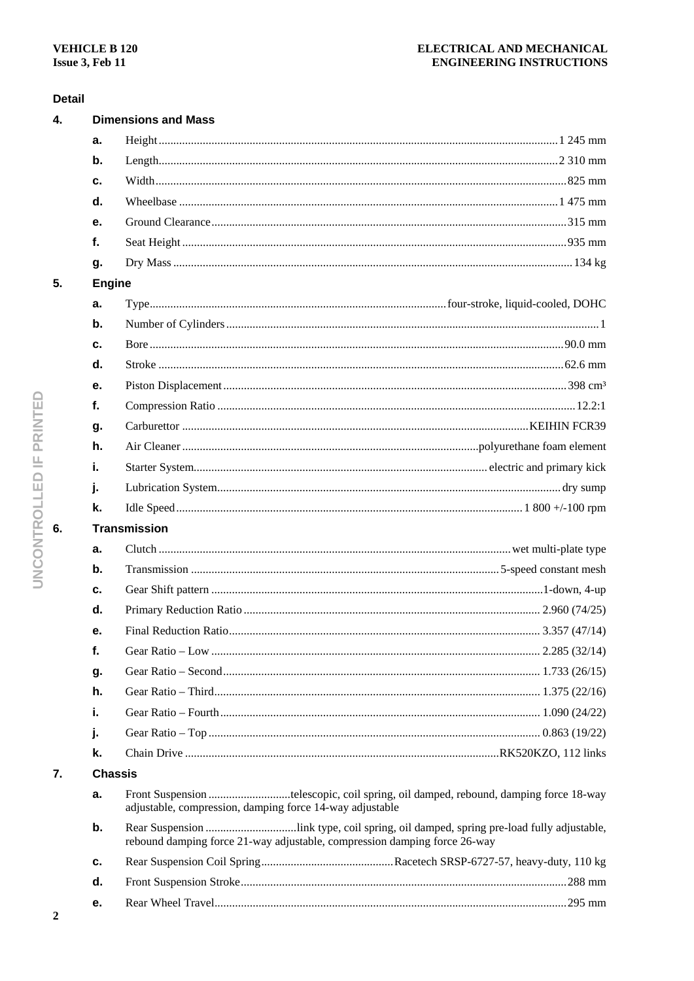### **Detail**

| 4. |                     | <b>Dimensions and Mass</b>                                                                                                                      |  |  |
|----|---------------------|-------------------------------------------------------------------------------------------------------------------------------------------------|--|--|
|    | a.                  |                                                                                                                                                 |  |  |
|    | b.                  |                                                                                                                                                 |  |  |
|    | c.                  |                                                                                                                                                 |  |  |
|    | d.                  |                                                                                                                                                 |  |  |
|    | е.                  |                                                                                                                                                 |  |  |
|    | f.                  |                                                                                                                                                 |  |  |
|    | g.                  |                                                                                                                                                 |  |  |
| 5. | <b>Engine</b>       |                                                                                                                                                 |  |  |
|    | а.                  |                                                                                                                                                 |  |  |
|    | b.                  |                                                                                                                                                 |  |  |
|    | c.                  |                                                                                                                                                 |  |  |
|    | d.                  |                                                                                                                                                 |  |  |
|    | е.                  |                                                                                                                                                 |  |  |
|    | f.                  |                                                                                                                                                 |  |  |
|    | g.                  |                                                                                                                                                 |  |  |
|    | h.                  |                                                                                                                                                 |  |  |
|    | i.                  |                                                                                                                                                 |  |  |
|    | j.                  |                                                                                                                                                 |  |  |
|    | k.                  |                                                                                                                                                 |  |  |
| 6. | <b>Transmission</b> |                                                                                                                                                 |  |  |
|    | a.                  |                                                                                                                                                 |  |  |
|    | b.                  |                                                                                                                                                 |  |  |
|    | c.                  |                                                                                                                                                 |  |  |
|    | d.                  |                                                                                                                                                 |  |  |
|    | е.                  |                                                                                                                                                 |  |  |
|    | f.                  |                                                                                                                                                 |  |  |
|    | g.                  |                                                                                                                                                 |  |  |
|    | h.                  |                                                                                                                                                 |  |  |
|    | i.                  |                                                                                                                                                 |  |  |
|    | j.                  |                                                                                                                                                 |  |  |
|    | k.                  |                                                                                                                                                 |  |  |
| 7. |                     | <b>Chassis</b>                                                                                                                                  |  |  |
|    | а.                  | Front Suspension telescopic, coil spring, oil damped, rebound, damping force 18-way<br>adjustable, compression, damping force 14-way adjustable |  |  |
|    | b.                  | rebound damping force 21-way adjustable, compression damping force 26-way                                                                       |  |  |
|    | c.                  |                                                                                                                                                 |  |  |
|    | d.                  |                                                                                                                                                 |  |  |
|    | е.                  |                                                                                                                                                 |  |  |
|    |                     |                                                                                                                                                 |  |  |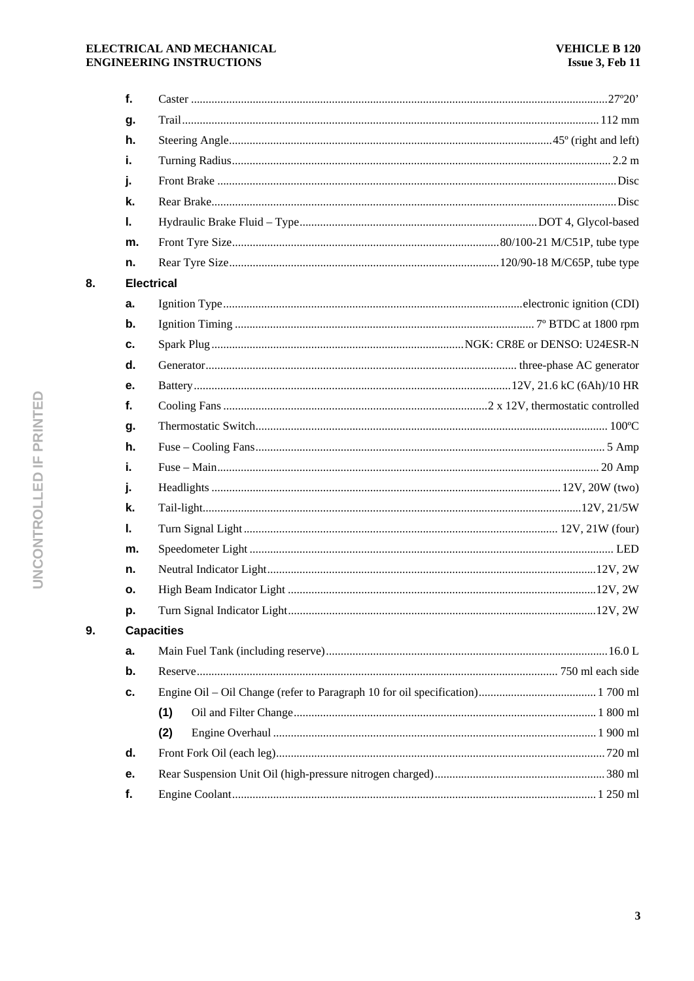#### ELECTRICAL AND MECHANICAL **ENGINEERING INSTRUCTIONS**

| f.            |                   |  |
|---------------|-------------------|--|
| g.            |                   |  |
| h.            |                   |  |
| i.            |                   |  |
| j.            |                   |  |
| k.            |                   |  |
| L.            |                   |  |
| m.            |                   |  |
| n.            |                   |  |
|               | <b>Electrical</b> |  |
| a.            |                   |  |
| $\mathbf b$ . |                   |  |
| c.            |                   |  |
| d.            |                   |  |
| е.            |                   |  |
| f.            |                   |  |
| g.            |                   |  |
| h.            |                   |  |
| i.            |                   |  |
| j.            |                   |  |
| k.            |                   |  |
| L.            |                   |  |
| m.            |                   |  |
| n.            |                   |  |
| о.            |                   |  |
| p.            |                   |  |
|               | <b>Capacities</b> |  |
| a.            |                   |  |
| b.            |                   |  |
| c.            |                   |  |
|               | (1)               |  |
|               | (2)               |  |
| d.            |                   |  |
| е.            |                   |  |
| f.            |                   |  |
|               |                   |  |

8.

9.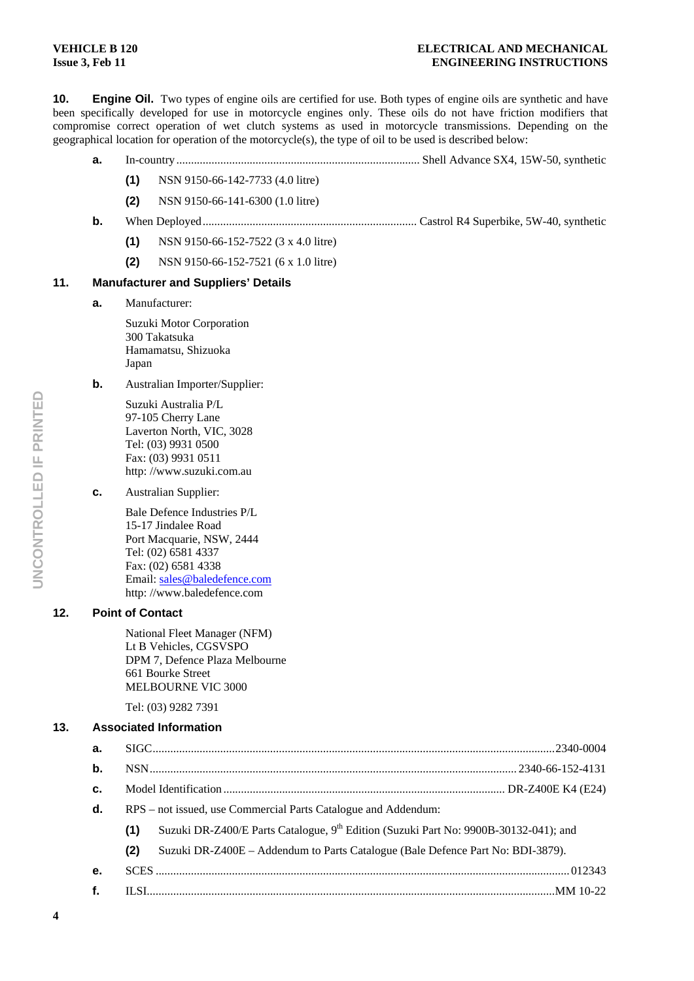#### **VEHICLE B 120 Issue 3, Feb 11**

**10.** Engine Oil. Two types of engine oils are certified for use. Both types of engine oils are synthetic and have been specifically developed for use in motorcycle engines only. These oils do not have friction modifiers that compromise correct operation of wet clutch systems as used in motorcycle transmissions. Depending on the geographical location for operation of the motorcycle(s), the type of oil to be used is described below:

- **a.** In-country................................................................................... Shell Advance SX4, 15W-50, synthetic
	- **(1)** NSN 9150-66-142-7733 (4.0 litre)
	- **(2)** NSN 9150-66-141-6300 (1.0 litre)
- **b.** When Deployed......................................................................... Castrol R4 Superbike, 5W-40, synthetic
	- **(1)** NSN 9150-66-152-7522 (3 x 4.0 litre)
	- **(2)** NSN 9150-66-152-7521 (6 x 1.0 litre)

## **11. Manufacturer and Suppliers' Details**

#### **a.** Manufacturer:

Suzuki Motor Corporation 300 Takatsuka Hamamatsu, Shizuoka Japan

**b.** Australian Importer/Supplier:

Suzuki Australia P/L 97-105 Cherry Lane Laverton North, VIC, 3028 Tel: (03) 9931 0500 Fax: (03) 9931 0511 http: //www.suzuki.com.au

**c.** Australian Supplier:

Bale Defence Industries P/L 15-17 Jindalee Road Port Macquarie, NSW, 2444 Tel: (02) 6581 4337 Fax: (02) 6581 4338 Email: sales@baledefence.com http: //www.baledefence.com

## **12. Point of Contact**

National Fleet Manager (NFM) Lt B Vehicles, CGSVSPO DPM 7, Defence Plaza Melbourne 661 Bourke Street MELBOURNE VIC 3000

Tel: (03) 9282 7391

## **13. Associated Information**

| а.            |                                                                |                                                                                                  |  |
|---------------|----------------------------------------------------------------|--------------------------------------------------------------------------------------------------|--|
| $\mathbf b$ . |                                                                |                                                                                                  |  |
| C.            |                                                                |                                                                                                  |  |
| d.            | RPS – not issued, use Commercial Parts Catalogue and Addendum: |                                                                                                  |  |
|               | (1)                                                            | Suzuki DR-Z400/E Parts Catalogue, 9 <sup>th</sup> Edition (Suzuki Part No: 9900B-30132-041); and |  |
|               | (2)                                                            | Suzuki DR-Z400E - Addendum to Parts Catalogue (Bale Defence Part No: BDI-3879).                  |  |
| е.            |                                                                |                                                                                                  |  |
| f.            |                                                                |                                                                                                  |  |